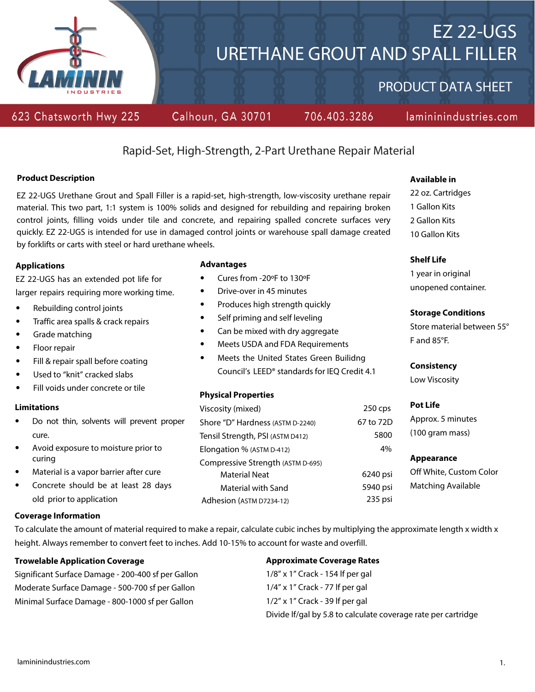

# EZ 22-UGS URETHANE GROUT AND SPALL FILLER

PRODUCT DATA SHEET

# 623 Chatsworth Hwy 225

Calhoun, GA 30701

706.403.3286

# lamininindustries.com

# Rapid-Set, High-Strength, 2-Part Urethane Repair Material

# **Product Description**

EZ 22-UGS Urethane Grout and Spall Filler is a rapid-set, high-strength, low-viscosity urethane repair material. This two part, 1:1 system is 100% solids and designed for rebuilding and repairing broken control joints, filling voids under tile and concrete, and repairing spalled concrete surfaces very quickly. EZ 22-UGS is intended for use in damaged control joints or warehouse spall damage created by forklifts or carts with steel or hard urethane wheels.

# **Applications**

EZ 22-UGS has an extended pot life for larger repairs requiring more working time.

- Rebuilding control joints
- Traffic area spalls & crack repairs
- Grade matching
- Floor repair
- Fill & repair spall before coating
- Used to "knit" cracked slabs
- Fill voids under concrete or tile

# **Limitations**

- Do not thin, solvents will prevent proper cure.
- Avoid exposure to moisture prior to curing
- Material is a vapor barrier after cure
- Concrete should be at least 28 days old prior to application

# **Coverage Information**

To calculate the amount of material required to make a repair, calculate cubic inches by multiplying the approximate length x width x height. Always remember to convert feet to inches. Add 10-15% to account for waste and overfill.

# **Trowelable Application Coverage**

Significant Surface Damage - 200-400 sf per Gallon Moderate Surface Damage - 500-700 sf per Gallon Minimal Surface Damage - 800-1000 sf per Gallon

# **Advantages**

- Cures from -20ºF to 130ºF
- Drive-over in 45 minutes
- Produces high strength quickly
- Self priming and self leveling
- Can be mixed with dry aggregate
- Meets USDA and FDA Requirements
- Meets the United States Green Builidng Council's LEED® standards for IEQ Credit 4.1

# **Physical Properties**

| Viscosity (mixed)                 | $250$ cps |
|-----------------------------------|-----------|
| Shore "D" Hardness (ASTM D-2240)  | 67 to 72D |
| Tensil Strength, PSI (ASTM D412)  | 5800      |
| Elongation % (ASTM D-412)         | 4%        |
| Compressive Strength (ASTM D-695) |           |
| Material Neat                     | 6240 psi  |
| Material with Sand                | 5940 psi  |
| Adhesion (ASTM D7234-12)          | 235 psi   |

# **Available in**

22 oz. Cartridges 1 Gallon Kits 2 Gallon Kits 10 Gallon Kits

# **Shelf Life**

1 year in original unopened container.

# **Storage Conditions**

Store material between 55° F and 85°F.

# **Consistency**

Low Viscosity

# **Pot Life**

Approx. 5 minutes (100 gram mass)

# **Appearance**

Off White, Custom Color Matching Available

**Approximate Coverage Rates** 1/8" x 1" Crack - 154 lf per gal 1/4" x 1" Crack - 77 lf per gal 1/2" x 1" Crack - 39 lf per gal Divide lf/gal by 5.8 to calculate coverage rate per cartridge